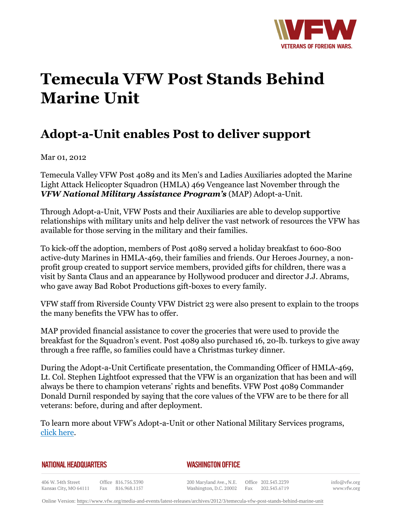

## **Temecula VFW Post Stands Behind Marine Unit**

## **Adopt-a-Unit enables Post to deliver support**

Mar 01, 2012

Temecula Valley VFW Post 4089 and its Men's and Ladies Auxiliaries adopted the Marine Light Attack Helicopter Squadron (HMLA) 469 Vengeance last November through the *VFW National Military Assistance Program's* (MAP) Adopt-a-Unit.

Through Adopt-a-Unit, VFW Posts and their Auxiliaries are able to develop supportive relationships with military units and help deliver the vast network of resources the VFW has available for those serving in the military and their families.

To kick-off the adoption, members of Post 4089 served a holiday breakfast to 600-800 active-duty Marines in HMLA-469, their families and friends. Our Heroes Journey, a nonprofit group created to support service members, provided gifts for children, there was a visit by Santa Claus and an appearance by Hollywood producer and director J.J. Abrams, who gave away Bad Robot Productions gift-boxes to every family.

VFW staff from Riverside County VFW District 23 were also present to explain to the troops the many benefits the VFW has to offer.

MAP provided financial assistance to cover the groceries that were used to provide the breakfast for the Squadron's event. Post 4089 also purchased 16, 20-lb. turkeys to give away through a free raffle, so families could have a Christmas turkey dinner.

During the Adopt-a-Unit Certificate presentation, the Commanding Officer of HMLA-469, Lt. Col. Stephen Lightfoot expressed that the VFW is an organization that has been and will always be there to champion veterans' rights and benefits. VFW Post 4089 Commander Donald Durnil responded by saying that the core values of the VFW are to be there for all veterans: before, during and after deployment.

To learn more about VFW's Adopt-a-Unit or other National Military Services programs, click here.

## **NATIONAL HEADQUARTERS**

## *WASHINGTON OFFICE*

406 W. 34th Street Office 816.756.3390 Fax 816.968.1157 Kansas City, MO 64111

200 Maryland Ave., N.E. Washington, D.C. 20002 Fax 202.543.6719

Office 202.543.2239

info@vfw.org www.vfw.org

Online Version:<https://www.vfw.org/media-and-events/latest-releases/archives/2012/3/temecula-vfw-post-stands-behind-marine-unit>